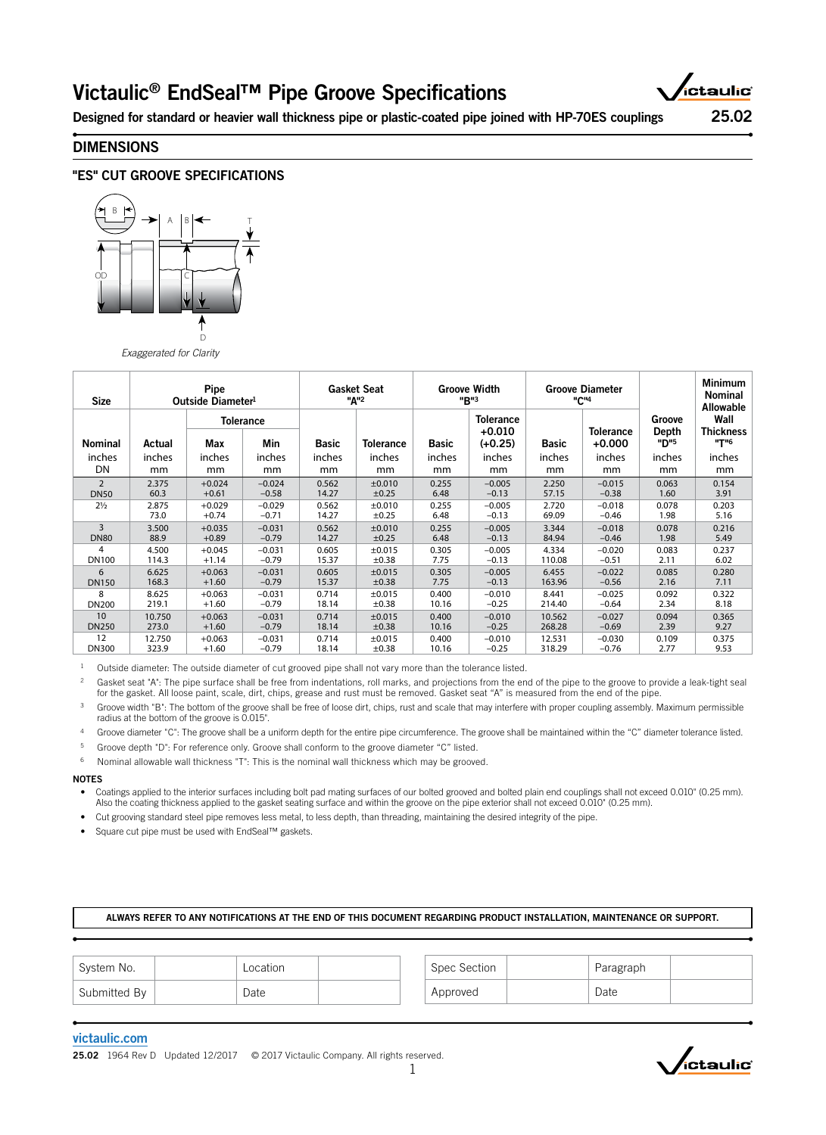# Victaulic® EndSeal™ Pipe Groove Specifications



Designed for standard or heavier wall thickness pipe or plastic-coated pipe joined with HP-70ES couplings 25.02

## DIMENSIONS





*Exaggerated for Clarity*

| <b>Size</b>    | <b>Pipe</b><br>Outside Diameter <sup>1</sup> |          |                         | <b>Gasket Seat</b><br>"A" <sup>2</sup> |                  | <b>Groove Width</b><br>"B"3 |                                           | <b>Groove Diameter</b><br>"C" <sup>4</sup> |                              |                         | <b>Minimum</b><br>Nominal<br><b>Allowable</b> |
|----------------|----------------------------------------------|----------|-------------------------|----------------------------------------|------------------|-----------------------------|-------------------------------------------|--------------------------------------------|------------------------------|-------------------------|-----------------------------------------------|
| <b>Nominal</b> | Actual                                       | Max      | <b>Tolerance</b><br>Min | <b>Basic</b>                           | <b>Tolerance</b> | <b>Basic</b>                | <b>Tolerance</b><br>$+0.010$<br>$(+0.25)$ | <b>Basic</b>                               | <b>Tolerance</b><br>$+0.000$ | Groove<br>Depth<br>"D"5 | Wall<br><b>Thickness</b><br>"T"6              |
| inches         | inches                                       | inches   | inches                  | inches                                 | inches           | inches                      | inches                                    | inches                                     | inches                       | inches                  | inches                                        |
| DN             | mm                                           | mm       | mm                      | mm                                     | mm               | mm                          | mm                                        | mm                                         | mm                           | mm                      | mm                                            |
| $\overline{2}$ | 2.375                                        | $+0.024$ | $-0.024$                | 0.562                                  | $\pm 0.010$      | 0.255                       | $-0.005$                                  | 2.250                                      | $-0.015$                     | 0.063                   | 0.154                                         |
| <b>DN50</b>    | 60.3                                         | $+0.61$  | $-0.58$                 | 14.27                                  | ±0.25            | 6.48                        | $-0.13$                                   | 57.15                                      | $-0.38$                      | 1.60                    | 3.91                                          |
| $2\frac{1}{2}$ | 2.875                                        | $+0.029$ | $-0.029$                | 0.562                                  | ±0.010           | 0.255                       | $-0.005$                                  | 2.720                                      | $-0.018$                     | 0.078                   | 0.203                                         |
|                | 73.0                                         | $+0.74$  | $-0.71$                 | 14.27                                  | ±0.25            | 6.48                        | $-0.13$                                   | 69.09                                      | $-0.46$                      | 1.98                    | 5.16                                          |
| 3              | 3.500                                        | $+0.035$ | $-0.031$                | 0.562                                  | ±0.010           | 0.255                       | $-0.005$                                  | 3.344                                      | $-0.018$                     | 0.078                   | 0.216                                         |
| <b>DN80</b>    | 88.9                                         | $+0.89$  | $-0.79$                 | 14.27                                  | ±0.25            | 6.48                        | $-0.13$                                   | 84.94                                      | $-0.46$                      | 1.98                    | 5.49                                          |
| 4              | 4.500                                        | $+0.045$ | $-0.031$                | 0.605                                  | ±0.015           | 0.305                       | $-0.005$                                  | 4.334                                      | $-0.020$                     | 0.083                   | 0.237                                         |
| <b>DN100</b>   | 114.3                                        | $+1.14$  | $-0.79$                 | 15.37                                  | ±0.38            | 7.75                        | $-0.13$                                   | 110.08                                     | $-0.51$                      | 2.11                    | 6.02                                          |
| 6              | 6.625                                        | $+0.063$ | $-0.031$                | 0.605                                  | ±0.015           | 0.305                       | $-0.005$                                  | 6.455                                      | $-0.022$                     | 0.085                   | 0.280                                         |
| <b>DN150</b>   | 168.3                                        | $+1.60$  | $-0.79$                 | 15.37                                  | ±0.38            | 7.75                        | $-0.13$                                   | 163.96                                     | $-0.56$                      | 2.16                    | 7.11                                          |
| 8              | 8.625                                        | $+0.063$ | $-0.031$                | 0.714                                  | ±0.015           | 0.400                       | $-0.010$                                  | 8.441                                      | $-0.025$                     | 0.092                   | 0.322                                         |
| <b>DN200</b>   | 219.1                                        | $+1.60$  | $-0.79$                 | 18.14                                  | ±0.38            | 10.16                       | $-0.25$                                   | 214.40                                     | $-0.64$                      | 2.34                    | 8.18                                          |
| 10             | 10.750                                       | $+0.063$ | $-0.031$                | 0.714                                  | ±0.015           | 0.400                       | $-0.010$                                  | 10.562                                     | $-0.027$                     | 0.094                   | 0.365                                         |
| <b>DN250</b>   | 273.0                                        | $+1.60$  | $-0.79$                 | 18.14                                  | ±0.38            | 10.16                       | $-0.25$                                   | 268.28                                     | $-0.69$                      | 2.39                    | 9.27                                          |
| 12             | 12.750                                       | $+0.063$ | $-0.031$                | 0.714                                  | ±0.015           | 0.400                       | $-0.010$                                  | 12.531                                     | $-0.030$                     | 0.109                   | 0.375                                         |
| <b>DN300</b>   | 323.9                                        | $+1.60$  | $-0.79$                 | 18.14                                  | ±0.38            | 10.16                       | $-0.25$                                   | 318.29                                     | $-0.76$                      | 2.77                    | 9.53                                          |

<sup>1</sup> Outside diameter: The outside diameter of cut grooved pipe shall not vary more than the tolerance listed.

Gasket seat "A": The pipe surface shall be free from indentations, roll marks, and projections from the end of the pipe to the groove to provide a leak-tight seal<br>for the gasket. All loose paint, scale, dirt, chips, grease

<sup>3</sup> Groove width "B": The bottom of the groove shall be free of loose dirt, chips, rust and scale that may interfere with proper coupling assembly. Maximum permissible radius at the bottom of the groove is 0.015".

4 Groove diameter "C": The groove shall be a uniform depth for the entire pipe circumference. The groove shall be maintained within the "C" diameter tolerance listed.

Groove depth "D": For reference only. Groove shall conform to the groove diameter "C" listed.

6 Nominal allowable wall thickness "T": This is the nominal wall thickness which may be grooved.

### NOTES

- Coatings applied to the interior surfaces including bolt pad mating surfaces of our bolted grooved and bolted plain end couplings shall not exceed 0.010" (0.25 mm). Also the coating thickness applied to the gasket seating surface and within the groove on the pipe exterior shall not exceed 0.010" (0.25 mm).
- Cut grooving standard steel pipe removes less metal, to less depth, than threading, maintaining the desired integrity of the pipe.
- Square cut pipe must be used with EndSeal™ gaskets.

### ALWAYS REFER TO ANY NOTIFICATIONS AT THE END OF THIS DOCUMENT REGARDING PRODUCT INSTALLATION, MAINTENANCE OR SUPPORT.

| System No.   | Location | Spec Section | Paragraph |  |
|--------------|----------|--------------|-----------|--|
| Submitted By | Date     | Approved     | Date      |  |

### [victaulic.com](http://www.victaulic.com)

25.02 1964 Rev D Updated 12/2017 © 2017 Victaulic Company. All rights reserved.

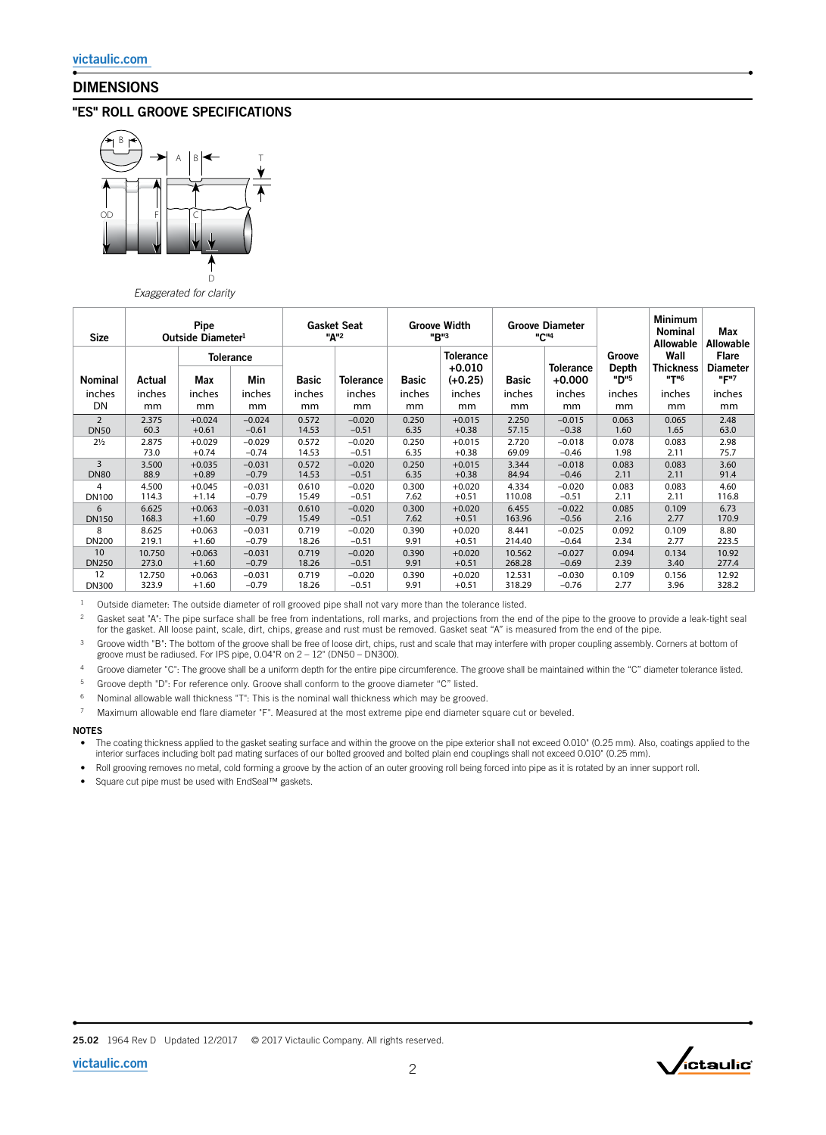# DIMENSIONS

# "ES" ROLL GROOVE SPECIFICATIONS



*Exaggerated for clarity*

| <b>Size</b>    | Pipe<br>Outside Diameter <sup>1</sup> |          |                  | <b>Gasket Seat</b><br>"A" <sup>2</sup> |                  | <b>Groove Width</b><br>"B"3 |                       | <b>Groove Diameter</b><br>"C" <sup>4</sup> |                              |                           | <b>Minimum</b><br><b>Nominal</b><br><b>Allowable</b> | Max<br><b>Allowable</b>             |
|----------------|---------------------------------------|----------|------------------|----------------------------------------|------------------|-----------------------------|-----------------------|--------------------------------------------|------------------------------|---------------------------|------------------------------------------------------|-------------------------------------|
|                |                                       |          | <b>Tolerance</b> |                                        |                  |                             | <b>Tolerance</b>      |                                            |                              | Groove                    | Wall                                                 | <b>Flare</b>                        |
| <b>Nominal</b> | Actual                                | Max      | Min              | <b>Basic</b>                           | <b>Tolerance</b> | <b>Basic</b>                | $+0.010$<br>$(+0.25)$ | <b>Basic</b>                               | <b>Tolerance</b><br>$+0.000$ | Depth<br>"D" <sup>5</sup> | <b>Thickness</b><br><b>"T"6</b>                      | <b>Diameter</b><br>"F" <sup>7</sup> |
| inches         | inches                                | inches   | inches           | inches                                 | inches           | inches                      | inches                | inches                                     | inches                       | inches                    | inches                                               | inches                              |
| DN             | mm                                    | mm       | mm               | mm                                     | mm               | mm                          | mm                    | mm                                         | mm                           | mm                        | mm                                                   | mm                                  |
| $\overline{2}$ | 2.375                                 | $+0.024$ | $-0.024$         | 0.572                                  | $-0.020$         | 0.250                       | $+0.015$              | 2.250                                      | $-0.015$                     | 0.063                     | 0.065                                                | 2.48                                |
| <b>DN50</b>    | 60.3                                  | $+0.61$  | $-0.61$          | 14.53                                  | $-0.51$          | 6.35                        | $+0.38$               | 57.15                                      | $-0.38$                      | 1.60                      | 1.65                                                 | 63.0                                |
| $2\frac{1}{2}$ | 2.875                                 | $+0.029$ | $-0.029$         | 0.572                                  | $-0.020$         | 0.250                       | $+0.015$              | 2.720                                      | $-0.018$                     | 0.078                     | 0.083                                                | 2.98                                |
|                | 73.0                                  | $+0.74$  | $-0.74$          | 14.53                                  | $-0.51$          | 6.35                        | $+0.38$               | 69.09                                      | $-0.46$                      | 1.98                      | 2.11                                                 | 75.7                                |
| 3              | 3.500                                 | $+0.035$ | $-0.031$         | 0.572                                  | $-0.020$         | 0.250                       | $+0.015$              | 3.344                                      | $-0.018$                     | 0.083                     | 0.083                                                | 3.60                                |
| <b>DN80</b>    | 88.9                                  | $+0.89$  | $-0.79$          | 14.53                                  | $-0.51$          | 6.35                        | $+0.38$               | 84.94                                      | $-0.46$                      | 2.11                      | 2.11                                                 | 91.4                                |
| 4              | 4.500                                 | $+0.045$ | $-0.031$         | 0.610                                  | $-0.020$         | 0.300                       | $+0.020$              | 4.334                                      | $-0.020$                     | 0.083                     | 0.083                                                | 4.60                                |
| DN100          | 114.3                                 | $+1.14$  | $-0.79$          | 15.49                                  | $-0.51$          | 7.62                        | $+0.51$               | 110.08                                     | $-0.51$                      | 2.11                      | 2.11                                                 | 116.8                               |
| 6              | 6.625                                 | $+0.063$ | $-0.031$         | 0.610                                  | $-0.020$         | 0.300                       | $+0.020$              | 6.455                                      | $-0.022$                     | 0.085                     | 0.109                                                | 6.73                                |
| <b>DN150</b>   | 168.3                                 | $+1.60$  | $-0.79$          | 15.49                                  | $-0.51$          | 7.62                        | $+0.51$               | 163.96                                     | $-0.56$                      | 2.16                      | 2.77                                                 | 170.9                               |
| 8              | 8.625                                 | $+0.063$ | $-0.031$         | 0.719                                  | $-0.020$         | 0.390                       | $+0.020$              | 8.441                                      | $-0.025$                     | 0.092                     | 0.109                                                | 8.80                                |
| <b>DN200</b>   | 219.1                                 | $+1.60$  | $-0.79$          | 18.26                                  | $-0.51$          | 9.91                        | $+0.51$               | 214.40                                     | $-0.64$                      | 2.34                      | 2.77                                                 | 223.5                               |
| 10             | 10.750                                | $+0.063$ | $-0.031$         | 0.719                                  | $-0.020$         | 0.390                       | $+0.020$              | 10.562                                     | $-0.027$                     | 0.094                     | 0.134                                                | 10.92                               |
| <b>DN250</b>   | 273.0                                 | $+1.60$  | $-0.79$          | 18.26                                  | $-0.51$          | 9.91                        | $+0.51$               | 268.28                                     | $-0.69$                      | 2.39                      | 3.40                                                 | 277.4                               |
| 12             | 12.750                                | $+0.063$ | $-0.031$         | 0.719                                  | $-0.020$         | 0.390                       | $+0.020$              | 12.531                                     | $-0.030$                     | 0.109                     | 0.156                                                | 12.92                               |
| <b>DN300</b>   | 323.9                                 | $+1.60$  | $-0.79$          | 18.26                                  | $-0.51$          | 9.91                        | $+0.51$               | 318.29                                     | $-0.76$                      | 2.77                      | 3.96                                                 | 328.2                               |

<sup>1</sup> Outside diameter: The outside diameter of roll grooved pipe shall not vary more than the tolerance listed.

Gasket seat "A": The pipe surface shall be free from indentations, roll marks, and projections from the end of the pipe to the groove to provide a leak-tight seal<br>for the gasket. All loose paint, scale, dirt, chips, grease

Groove width "B": The bottom of the groove shall be free of loose dirt, chips, rust and scale that may interfere with proper coupling assembly. Corners at bottom of groove must be radiused. For IPS pipe, 0.04"R on 2 – 12" (DN50 – DN300).

4 Groove diameter "C": The groove shall be a uniform depth for the entire pipe circumference. The groove shall be maintained within the "C" diameter tolerance listed.

5 Groove depth "D": For reference only. Groove shall conform to the groove diameter "C" listed.

6 Nominal allowable wall thickness "T": This is the nominal wall thickness which may be grooved.

7 Maximum allowable end flare diameter "F". Measured at the most extreme pipe end diameter square cut or beveled.

### NOTES

The coating thickness applied to the gasket seating surface and within the groove on the pipe exterior shall not exceed 0.010" (0.25 mm). Also, coatings applied to the interior surfaces including bolt pad mating surfaces o

• Roll grooving removes no metal, cold forming a groove by the action of an outer grooving roll being forced into pipe as it is rotated by an inner support roll.

• Square cut pipe must be used with EndSeal™ gaskets.